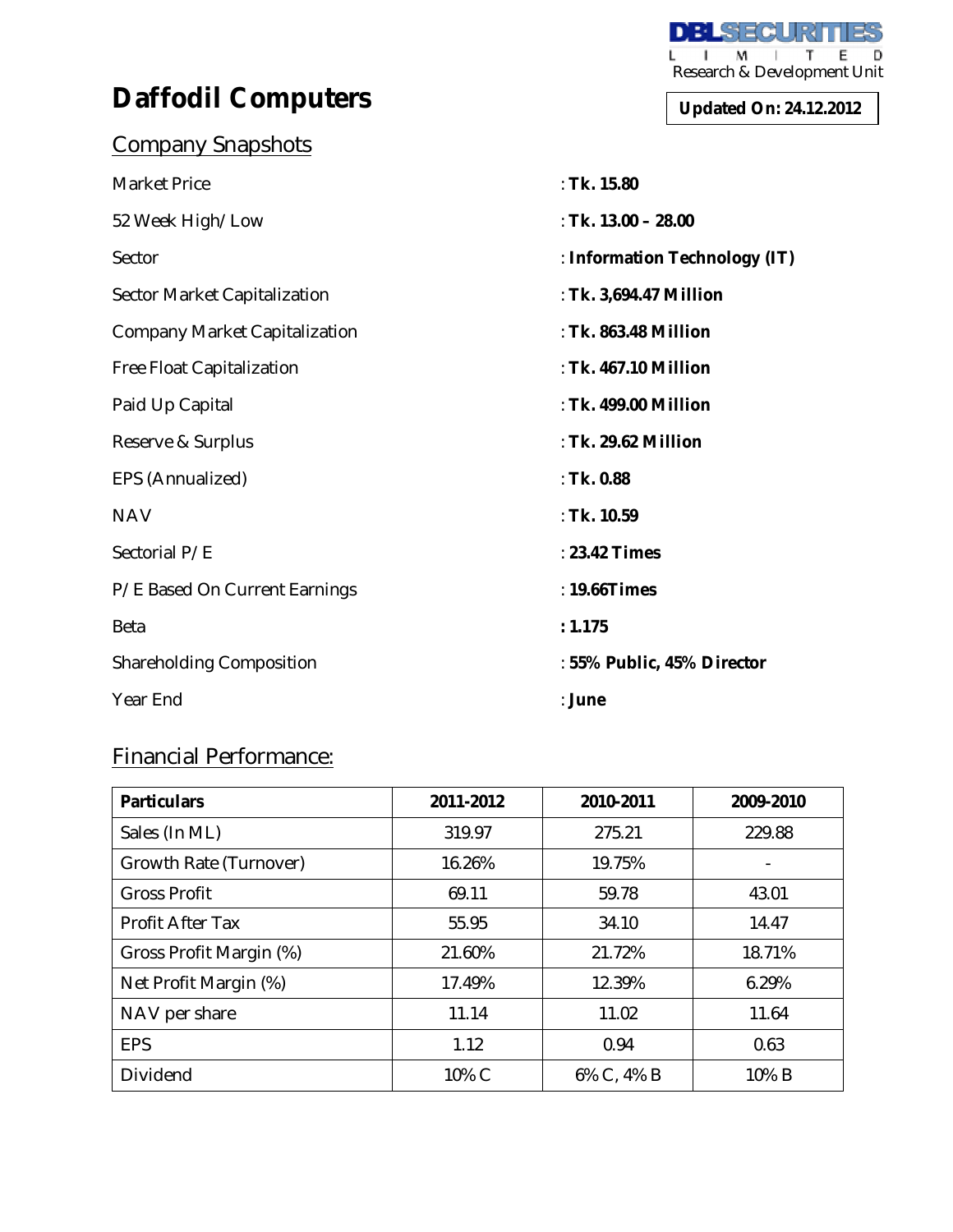# **Daffodil Computers**

## Company Snapshots

**Updated On: 24.12.2012**

| <b>Market Price</b>             | : $Tk. 15.80$                 |
|---------------------------------|-------------------------------|
| 52 Week High/Low                | : Tk. $13.00 - 28.00$         |
| Sector                          | : Information Technology (IT) |
| Sector Market Capitalization    | : Tk. 3,694.47 Million        |
| Company Market Capitalization   | : Tk. 863.48 Million          |
| Free Float Capitalization       | : Tk. 467.10 Million          |
| Paid Up Capital                 | : Tk. 499.00 Million          |
| Reserve & Surplus               | $\pm$ Tk. 29.62 Million       |
| EPS (Annualized)                | $:$ Tk. 0.88                  |
| <b>NAV</b>                      | : Tk. $10.59$                 |
| Sectorial P/E                   | : 23.42 Times                 |
| P/E Based On Current Earnings   | : 19.66 Times                 |
| Beta                            | : 1.175                       |
| <b>Shareholding Composition</b> | : 55% Public, 45% Director    |
| Year End                        | : June                        |

## Financial Performance:

| <b>Particulars</b>      | 2011-2012 | 2010-2011  | 2009-2010 |
|-------------------------|-----------|------------|-----------|
| Sales (In ML)           | 319.97    | 275.21     | 229.88    |
| Growth Rate (Turnover)  | 16.26%    | 19.75%     |           |
| <b>Gross Profit</b>     | 69.11     | 59.78      | 43.01     |
| <b>Profit After Tax</b> | 55.95     | 34.10      | 14.47     |
| Gross Profit Margin (%) | 21.60%    | 21.72%     | 18.71%    |
| Net Profit Margin (%)   | 17.49%    | 12.39%     | 6.29%     |
| NAV per share           | 11.14     | 11.02      | 11.64     |
| <b>EPS</b>              | 1.12      | 0.94       | 0.63      |
| <b>Dividend</b>         | 10% C     | 6% C, 4% B | 10% B     |